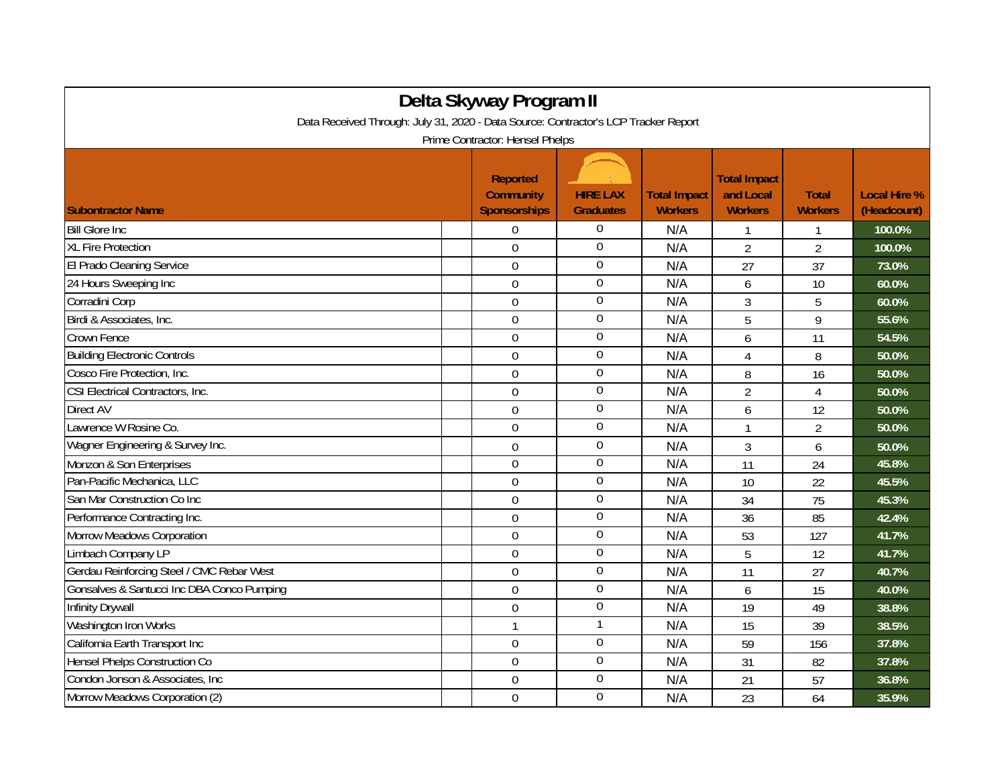| Delta Skyway Program II                                                                                                |                                                            |                                     |                                       |                                                    |                                |                                    |  |  |  |
|------------------------------------------------------------------------------------------------------------------------|------------------------------------------------------------|-------------------------------------|---------------------------------------|----------------------------------------------------|--------------------------------|------------------------------------|--|--|--|
| Data Received Through: July 31, 2020 - Data Source: Contractor's LCP Tracker Report<br>Prime Contractor: Hensel Phelps |                                                            |                                     |                                       |                                                    |                                |                                    |  |  |  |
| <b>Subontractor Name</b>                                                                                               | <b>Reported</b><br><b>Community</b><br><b>Sponsorships</b> | <b>HIRE LAX</b><br><b>Graduates</b> | <b>Total Impact</b><br><b>Workers</b> | <b>Total Impact</b><br>and Local<br><b>Workers</b> | <b>Total</b><br><b>Workers</b> | <b>Local Hire %</b><br>(Headcount) |  |  |  |
| <b>Bill Glore Inc.</b>                                                                                                 | $\Omega$                                                   | $\boldsymbol{0}$                    | N/A                                   |                                                    | 1                              | 100.0%                             |  |  |  |
| <b>XL Fire Protection</b>                                                                                              | $\Omega$                                                   | $\boldsymbol{0}$                    | N/A                                   | $\overline{2}$                                     | $\overline{2}$                 | 100.0%                             |  |  |  |
| El Prado Cleaning Service                                                                                              | $\mathbf 0$                                                | $\boldsymbol{0}$                    | N/A                                   | 27                                                 | 37                             | 73.0%                              |  |  |  |
| 24 Hours Sweeping Inc                                                                                                  | 0                                                          | $\overline{0}$                      | N/A                                   | 6                                                  | 10                             | 60.0%                              |  |  |  |
| Corradini Corp                                                                                                         | $\overline{0}$                                             | $\mathbf 0$                         | N/A                                   | 3                                                  | 5                              | 60.0%                              |  |  |  |
| Birdi & Associates, Inc.                                                                                               | $\overline{0}$                                             | $\boldsymbol{0}$                    | N/A                                   | 5                                                  | 9                              | 55.6%                              |  |  |  |
| Crown Fence                                                                                                            | $\boldsymbol{0}$                                           | $\mathbf 0$                         | N/A                                   | 6                                                  | 11                             | 54.5%                              |  |  |  |
| <b>Building Electronic Controls</b>                                                                                    | $\mathbf 0$                                                | $\overline{0}$                      | N/A                                   | 4                                                  | 8                              | 50.0%                              |  |  |  |
| Cosco Fire Protection, Inc.                                                                                            | $\mathbf 0$                                                | $\boldsymbol{0}$                    | N/A                                   | 8                                                  | 16                             | 50.0%                              |  |  |  |
| CSI Electrical Contractors, Inc.                                                                                       | $\mathbf 0$                                                | $\boldsymbol{0}$                    | N/A                                   | $\overline{2}$                                     | $\overline{4}$                 | 50.0%                              |  |  |  |
| Direct AV                                                                                                              | $\overline{0}$                                             | $\overline{0}$                      | N/A                                   | 6                                                  | 12                             | 50.0%                              |  |  |  |
| Lawrence W Rosine Co.                                                                                                  | $\overline{0}$                                             | $\boldsymbol{0}$                    | N/A                                   | $\mathbf{1}$                                       | $\overline{2}$                 | 50.0%                              |  |  |  |
| Wagner Engineering & Survey Inc.                                                                                       | $\mathbf 0$                                                | $\boldsymbol{0}$                    | N/A                                   | 3                                                  | 6                              | 50.0%                              |  |  |  |
| Monzon & Son Enterprises                                                                                               | $\mathbf 0$                                                | $\overline{0}$                      | N/A                                   | 11                                                 | 24                             | 45.8%                              |  |  |  |
| Pan-Pacific Mechanica, LLC                                                                                             | $\Omega$                                                   | $\mathbf 0$                         | N/A                                   | 10                                                 | 22                             | 45.5%                              |  |  |  |
| San Mar Construction Co Inc                                                                                            | $\overline{0}$                                             | $\mathbf 0$                         | N/A                                   | 34                                                 | 75                             | 45.3%                              |  |  |  |
| Performance Contracting Inc.                                                                                           | $\mathbf 0$                                                | $\overline{0}$                      | N/A                                   | 36                                                 | 85                             | 42.4%                              |  |  |  |
| Morrow Meadows Corporation                                                                                             | $\Omega$                                                   | $\boldsymbol{0}$                    | N/A                                   | 53                                                 | 127                            | 41.7%                              |  |  |  |
| Limbach Company LP                                                                                                     | $\overline{0}$                                             | $\boldsymbol{0}$                    | N/A                                   | 5                                                  | 12                             | 41.7%                              |  |  |  |
| Gerdau Reinforcing Steel / CMC Rebar West                                                                              | $\Omega$                                                   | $\overline{0}$                      | N/A                                   | 11                                                 | 27                             | 40.7%                              |  |  |  |
| Gonsalves & Santucci Inc DBA Conco Pumping                                                                             | $\overline{0}$                                             | $\boldsymbol{0}$                    | N/A                                   | 6                                                  | 15                             | 40.0%                              |  |  |  |
| Infinity Drywall                                                                                                       | $\overline{0}$                                             | $\overline{0}$                      | N/A                                   | 19                                                 | 49                             | 38.8%                              |  |  |  |
| Washington Iron Works                                                                                                  | $\mathbf{1}$                                               | $\mathbf{1}$                        | N/A                                   | 15                                                 | 39                             | 38.5%                              |  |  |  |
| California Earth Transport Inc                                                                                         | $\Omega$                                                   | $\boldsymbol{0}$                    | N/A                                   | 59                                                 | 156                            | 37.8%                              |  |  |  |
| <b>Hensel Phelps Construction Co</b>                                                                                   | $\overline{0}$                                             | $\boldsymbol{0}$                    | N/A                                   | 31                                                 | 82                             | 37.8%                              |  |  |  |
| Condon Jonson & Associates, Inc.                                                                                       | 0                                                          | $\boldsymbol{0}$                    | N/A                                   | 21                                                 | 57                             | 36.8%                              |  |  |  |
| Morrow Meadows Corporation (2)                                                                                         | $\mathbf 0$                                                | $\boldsymbol{0}$                    | N/A                                   | 23                                                 | 64                             | 35.9%                              |  |  |  |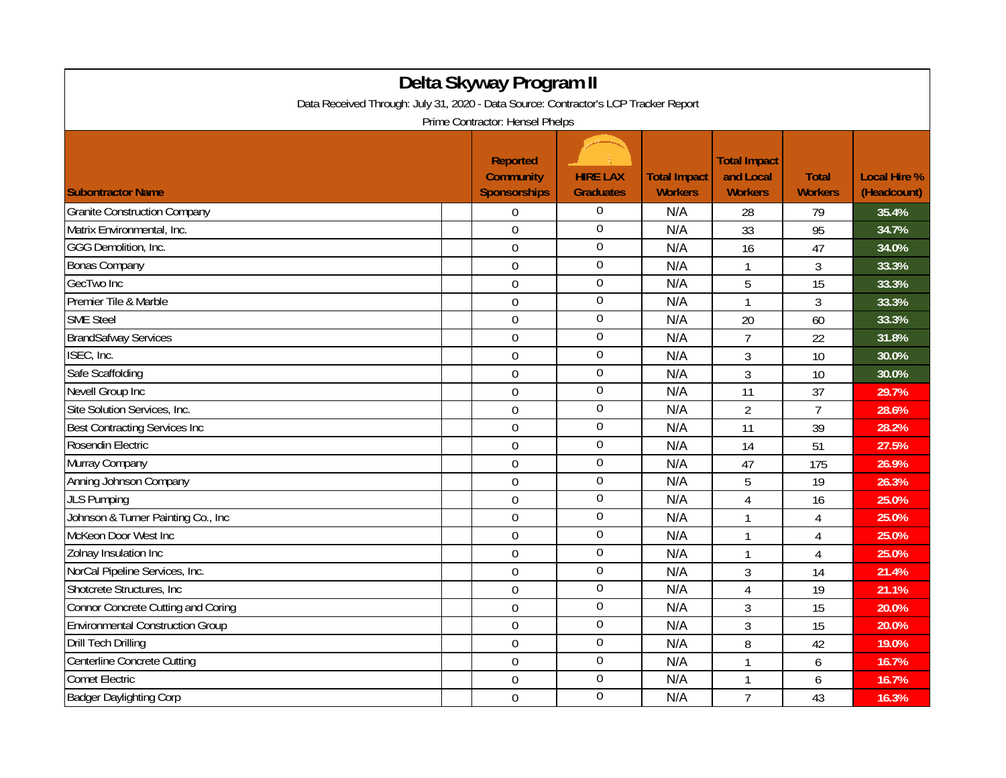| Delta Skyway Program II<br>Data Received Through: July 31, 2020 - Data Source: Contractor's LCP Tracker Report |                                                            |                                     |                                       |                                                    |                                |                                    |  |  |                                 |
|----------------------------------------------------------------------------------------------------------------|------------------------------------------------------------|-------------------------------------|---------------------------------------|----------------------------------------------------|--------------------------------|------------------------------------|--|--|---------------------------------|
|                                                                                                                |                                                            |                                     |                                       |                                                    |                                |                                    |  |  | Prime Contractor: Hensel Phelps |
| <b>Subontractor Name</b>                                                                                       | <b>Reported</b><br><b>Community</b><br><b>Sponsorships</b> | <b>HIRE LAX</b><br><b>Graduates</b> | <b>Total Impact</b><br><b>Workers</b> | <b>Total Impact</b><br>and Local<br><b>Workers</b> | <b>Total</b><br><b>Workers</b> | <b>Local Hire %</b><br>(Headcount) |  |  |                                 |
| <b>Granite Construction Company</b>                                                                            | $\Omega$                                                   | $\Omega$                            | N/A                                   | 28                                                 | 79                             | 35.4%                              |  |  |                                 |
| Matrix Environmental, Inc.                                                                                     | $\Omega$                                                   | $\boldsymbol{0}$                    | N/A                                   | 33                                                 | 95                             | 34.7%                              |  |  |                                 |
| GGG Demolition, Inc.                                                                                           | $\overline{0}$                                             | $\boldsymbol{0}$                    | N/A                                   | 16                                                 | 47                             | 34.0%                              |  |  |                                 |
| <b>Bonas Company</b>                                                                                           | $\mathbf 0$                                                | $\boldsymbol{0}$                    | N/A                                   | $\mathbf{1}$                                       | $\mathfrak{Z}$                 | 33.3%                              |  |  |                                 |
| GecTwo Inc                                                                                                     | $\overline{0}$                                             | $\overline{0}$                      | N/A                                   | 5                                                  | 15                             | 33.3%                              |  |  |                                 |
| Premier Tile & Marble                                                                                          | $\mathbf 0$                                                | $\boldsymbol{0}$                    | N/A                                   | $\mathbf 1$                                        | 3                              | 33.3%                              |  |  |                                 |
| <b>SME Steel</b>                                                                                               | $\overline{0}$                                             | 0                                   | N/A                                   | 20                                                 | 60                             | 33.3%                              |  |  |                                 |
| <b>BrandSafway Services</b>                                                                                    | $\mathbf 0$                                                | $\boldsymbol{0}$                    | N/A                                   | $\overline{7}$                                     | 22                             | 31.8%                              |  |  |                                 |
| ISEC, Inc.                                                                                                     | $\overline{0}$                                             | $\boldsymbol{0}$                    | N/A                                   | 3                                                  | 10                             | 30.0%                              |  |  |                                 |
| Safe Scaffolding                                                                                               | $\mathbf 0$                                                | $\mathbf 0$                         | N/A                                   | 3                                                  | 10                             | 30.0%                              |  |  |                                 |
| Nevell Group Inc                                                                                               | $\mathbf 0$                                                | $\boldsymbol{0}$                    | N/A                                   | 11                                                 | 37                             | 29.7%                              |  |  |                                 |
| Site Solution Services, Inc.                                                                                   | $\mathbf 0$                                                | $\boldsymbol{0}$                    | N/A                                   | $\overline{2}$                                     | $\overline{7}$                 | 28.6%                              |  |  |                                 |
| <b>Best Contracting Services Inc</b>                                                                           | $\overline{0}$                                             | $\overline{0}$                      | N/A                                   | 11                                                 | 39                             | 28.2%                              |  |  |                                 |
| Rosendin Electric                                                                                              | $\overline{0}$                                             | $\boldsymbol{0}$                    | N/A                                   | 14                                                 | 51                             | 27.5%                              |  |  |                                 |
| Murray Company                                                                                                 | $\mathbf 0$                                                | $\boldsymbol{0}$                    | N/A                                   | 47                                                 | 175                            | 26.9%                              |  |  |                                 |
| Anning Johnson Company                                                                                         | $\mathbf 0$                                                | $\boldsymbol{0}$                    | N/A                                   | 5                                                  | 19                             | 26.3%                              |  |  |                                 |
| <b>JLS Pumping</b>                                                                                             | $\overline{0}$                                             | $\boldsymbol{0}$                    | N/A                                   | 4                                                  | 16                             | 25.0%                              |  |  |                                 |
| Johnson & Turner Painting Co., Inc.                                                                            | $\mathbf 0$                                                | $\boldsymbol{0}$                    | N/A                                   | $\mathbf{1}$                                       | $\overline{4}$                 | 25.0%                              |  |  |                                 |
| McKeon Door West Inc                                                                                           | $\mathbf 0$                                                | $\mathbf 0$                         | N/A                                   | $\overline{1}$                                     | 4                              | 25.0%                              |  |  |                                 |
| Zolnay Insulation Inc                                                                                          | $\overline{0}$                                             | $\boldsymbol{0}$                    | N/A                                   | $\mathbf{1}$                                       | $\overline{4}$                 | 25.0%                              |  |  |                                 |
| NorCal Pipeline Services, Inc.                                                                                 | $\mathbf 0$                                                | $\overline{0}$                      | N/A                                   | 3                                                  | 14                             | 21.4%                              |  |  |                                 |
| Shotcrete Structures, Inc.                                                                                     | $\overline{0}$                                             | $\boldsymbol{0}$                    | N/A                                   | 4                                                  | 19                             | 21.1%                              |  |  |                                 |
| <b>Connor Concrete Cutting and Coring</b>                                                                      | $\overline{0}$                                             | $\boldsymbol{0}$                    | N/A                                   | 3                                                  | 15                             | 20.0%                              |  |  |                                 |
| <b>Environmental Construction Group</b>                                                                        | $\mathbf 0$                                                | $\mathbf 0$                         | N/A                                   | 3                                                  | 15                             | 20.0%                              |  |  |                                 |
| <b>Drill Tech Drilling</b>                                                                                     | $\mathbf 0$                                                | $\overline{0}$                      | N/A                                   | 8                                                  | 42                             | 19.0%                              |  |  |                                 |
| Centerline Concrete Cutting                                                                                    | $\mathbf 0$                                                | $\overline{0}$                      | N/A                                   | $\mathbf{1}$                                       | 6                              | 16.7%                              |  |  |                                 |
| <b>Comet Electric</b>                                                                                          | $\overline{0}$                                             | $\boldsymbol{0}$                    | N/A                                   | $\mathbf{1}$                                       | 6                              | 16.7%                              |  |  |                                 |
| <b>Badger Daylighting Corp</b>                                                                                 | $\mathbf 0$                                                | $\boldsymbol{0}$                    | N/A                                   | $\overline{7}$                                     | 43                             | 16.3%                              |  |  |                                 |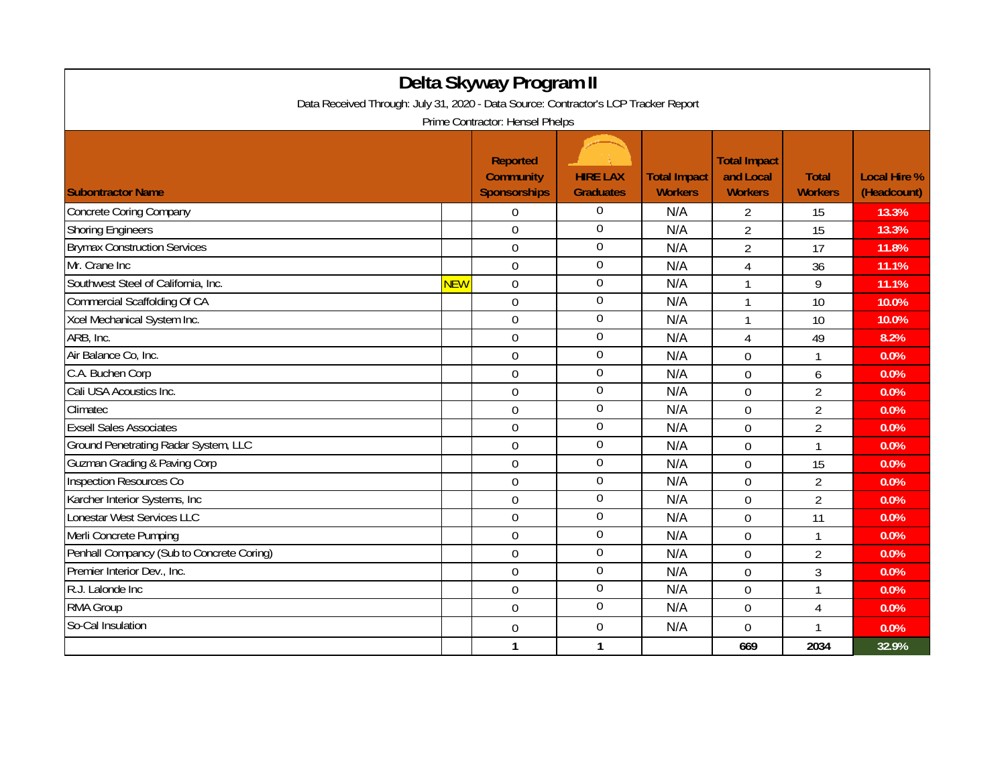| Delta Skyway Program II<br>Data Received Through: July 31, 2020 - Data Source: Contractor's LCP Tracker Report<br>Prime Contractor: Hensel Phelps |            |                |                  |     |                |                |       |  |  |
|---------------------------------------------------------------------------------------------------------------------------------------------------|------------|----------------|------------------|-----|----------------|----------------|-------|--|--|
|                                                                                                                                                   |            |                |                  |     |                |                |       |  |  |
| <b>Concrete Coring Company</b>                                                                                                                    |            | $\Omega$       | $\overline{0}$   | N/A | 2              | 15             | 13.3% |  |  |
| <b>Shoring Engineers</b>                                                                                                                          |            | $\overline{0}$ | $\boldsymbol{0}$ | N/A | $\overline{2}$ | 15             | 13.3% |  |  |
| <b>Brymax Construction Services</b>                                                                                                               |            | $\overline{0}$ | $\boldsymbol{0}$ | N/A | $\overline{2}$ | 17             | 11.8% |  |  |
| Mr. Crane Inc                                                                                                                                     |            | $\Omega$       | $\overline{0}$   | N/A | 4              | 36             | 11.1% |  |  |
| Southwest Steel of California, Inc.                                                                                                               | <b>NEW</b> | $\mathbf 0$    | $\boldsymbol{0}$ | N/A | $\mathbf{1}$   | 9              | 11.1% |  |  |
| Commercial Scaffolding Of CA                                                                                                                      |            | $\overline{0}$ | $\boldsymbol{0}$ | N/A | 1              | 10             | 10.0% |  |  |
| Xcel Mechanical System Inc.                                                                                                                       |            | $\Omega$       | $\boldsymbol{0}$ | N/A | $\mathbf{1}$   | 10             | 10.0% |  |  |
| ARB, Inc.                                                                                                                                         |            | $\overline{0}$ | $\boldsymbol{0}$ | N/A | 4              | 49             | 8.2%  |  |  |
| Air Balance Co, Inc.                                                                                                                              |            | $\overline{0}$ | $\overline{0}$   | N/A | $\overline{0}$ | $\mathbf{1}$   | 0.0%  |  |  |
| C.A. Buchen Corp                                                                                                                                  |            | $\Omega$       | $\mathbf 0$      | N/A | $\mathbf 0$    | 6              | 0.0%  |  |  |
| Cali USA Acoustics Inc.                                                                                                                           |            | 0              | $\mathbf 0$      | N/A | $\mathbf 0$    | $\overline{2}$ | 0.0%  |  |  |
| Climatec                                                                                                                                          |            | $\mathbf 0$    | $\overline{0}$   | N/A | $\mathbf 0$    | $\overline{2}$ | 0.0%  |  |  |
| <b>Exsell Sales Associates</b>                                                                                                                    |            | $\overline{0}$ | $\overline{0}$   | N/A | $\overline{0}$ | $\overline{2}$ | 0.0%  |  |  |
| Ground Penetrating Radar System, LLC                                                                                                              |            | $\overline{0}$ | 0                | N/A | $\theta$       | 1              | 0.0%  |  |  |
| <b>Guzman Grading &amp; Paving Corp</b>                                                                                                           |            | $\mathbf 0$    | $\boldsymbol{0}$ | N/A | $\mathbf 0$    | 15             | 0.0%  |  |  |
| Inspection Resources Co                                                                                                                           |            | $\overline{0}$ | $\boldsymbol{0}$ | N/A | $\overline{0}$ | $\overline{2}$ | 0.0%  |  |  |
| Karcher Interior Systems, Inc                                                                                                                     |            | $\Omega$       | $\boldsymbol{0}$ | N/A | $\Omega$       | $\overline{2}$ | 0.0%  |  |  |
| Lonestar West Services LLC                                                                                                                        |            | $\overline{0}$ | $\boldsymbol{0}$ | N/A | $\mathbf 0$    | 11             | 0.0%  |  |  |
| Merli Concrete Pumping                                                                                                                            |            | $\mathbf 0$    | $\boldsymbol{0}$ | N/A | $\mathbf 0$    | $\mathbf{1}$   | 0.0%  |  |  |
| Penhall Compancy (Sub to Concrete Coring)                                                                                                         |            | $\Omega$       | $\mathbf 0$      | N/A | 0              | $\overline{2}$ | 0.0%  |  |  |
| Premier Interior Dev., Inc.                                                                                                                       |            | $\mathbf 0$    | $\boldsymbol{0}$ | N/A | $\mathbf 0$    | $\overline{3}$ | 0.0%  |  |  |
| R.J. Lalonde Inc                                                                                                                                  |            | $\mathbf 0$    | $\overline{0}$   | N/A | $\mathbf 0$    | $\mathbf{1}$   | 0.0%  |  |  |
| <b>RMA Group</b>                                                                                                                                  |            | $\overline{0}$ | $\boldsymbol{0}$ | N/A | $\overline{0}$ | $\overline{4}$ | 0.0%  |  |  |
| So-Cal Insulation                                                                                                                                 |            | 0              | $\boldsymbol{0}$ | N/A | $\mathbf 0$    | 1              | 0.0%  |  |  |
|                                                                                                                                                   |            | $\mathbf{1}$   | $\mathbf{1}$     |     | 669            | 2034           | 32.9% |  |  |